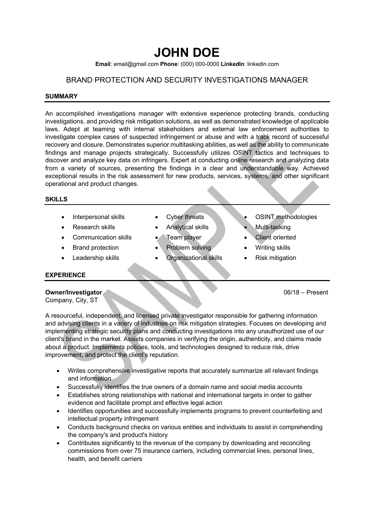# **JOHN DOE**

**Email**: email@gmail.com **Phone**: (000) 000-0000 **LinkedIn**: linkedin.com

# BRAND PROTECTION AND SECURITY INVESTIGATIONS MANAGER

#### **SUMMARY**

An accomplished investigations manager with extensive experience protecting brands, conducting investigations, and providing risk mitigation solutions, as well as demonstrated knowledge of applicable laws. Adept at teaming with internal stakeholders and external law enforcement authorities to investigate complex cases of suspected infringement or abuse and with a track record of successful recovery and closure. Demonstrates superior multitasking abilities, as well as the ability to communicate findings and manage projects strategically. Successfully utilizes OSINT tactics and techniques to discover and analyze key data on infringers. Expert at conducting online research and analyzing data from a variety of sources, presenting the findings in a clear and understandable way. Achieved exceptional results in the risk assessment for new products, services, systems, and other significant operational and product changes.

## **SKILLS**

- 
- 
- Communication skills Team player Client oriented
- 
- 
- 
- **Research skills** Analytical skills Multi-tasking
	-
- **Brand protection Problem solving Writing skills**
- Leadership skills Organizational skills Risk mitigation
- Interpersonal skills Cyber threats OSINT methodologies
	-
	-
	-
	-

## **EXPERIENCE**

# **Owner/Investigator** 06/18 – Present

Company, City, ST

A resourceful, independent, and licensed private investigator responsible for gathering information and advising clients in a variety of industries on risk mitigation strategies. Focuses on developing and implementing strategic security plans and conducting investigations into any unauthorized use of our client's brand in the market. Assists companies in verifying the origin, authenticity, and claims made about a product. Implements policies, tools, and technologies designed to reduce risk, drive improvement, and protect the client's reputation.

- Writes comprehensive investigative reports that accurately summarize all relevant findings and information
- Successfully identifies the true owners of a domain name and social media accounts
- Establishes strong relationships with national and international targets in order to gather evidence and facilitate prompt and effective legal action
- Identifies opportunities and successfully implements programs to prevent counterfeiting and intellectual property infringement
- Conducts background checks on various entities and individuals to assist in comprehending the company's and product's history
- Contributes significantly to the revenue of the company by downloading and reconciling commissions from over 75 insurance carriers, including commercial lines, personal lines, health, and benefit carriers